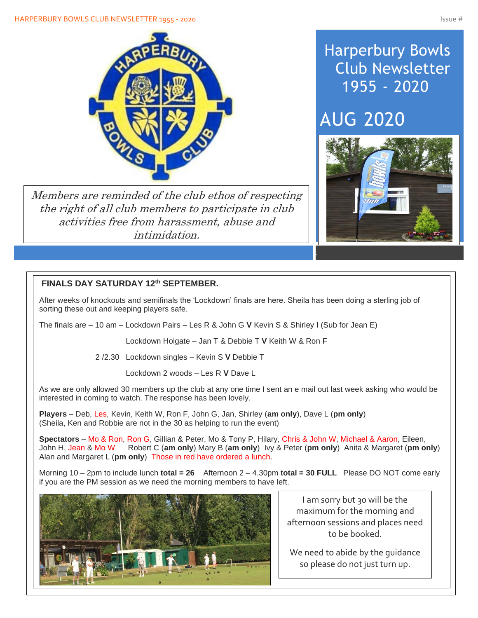#### HARPERBURY BOWLS CLUB NEWSLETTER 1955 - 2020 ISSUE # 1975 - 2020



Members are reminded of the club ethos of respecting the right of all club members to participate in club activities free from harassment, abuse and intimidation.

## Harperbury Bowls Club Newsletter 1955 - 2020

# AUG 2020



## **FINALS DAY SATURDAY 12th SEPTEMBER.**

After weeks of knockouts and semifinals the 'Lockdown' finals are here. Sheila has been doing a sterling job of sorting these out and keeping players safe.

The finals are – 10 am – Lockdown Pairs – Les R & John G **V** Kevin S & Shirley I (Sub for Jean E)

Lockdown Holgate – Jan T & Debbie T **V** Keith W & Ron F

2 /2.30 Lockdown singles – Kevin S **V** Debbie T

Lockdown 2 woods – Les R **V** Dave L

As we are only allowed 30 members up the club at any one time I sent an e mail out last week asking who would be interested in coming to watch. The response has been lovely.

**Players** – Deb, Les, Kevin, Keith W, Ron F, John G, Jan, Shirley (**am only**), Dave L (**pm only**) (Sheila, Ken and Robbie are not in the 30 as helping to run the event)

**Spectators** – Mo & Ron, Ron G, Gillian & Peter, Mo & Tony P, Hilary, Chris & John W, Michael & Aaron, Eileen, John H, Jean & Mo W Robert C (**am only**) Mary B (**am only**) Ivy & Peter (**pm only**) Anita & Margaret (**pm only**) Alan and Margaret L (**pm only**) Those in red have ordered a lunch.

Morning 10 – 2pm to include lunch **total = 26** Afternoon 2 – 4.30pm **total = 30 FULL** Please DO NOT come early if you are the PM session as we need the morning members to have left.



I am sorry but 30 will be the maximum for the morning and afternoon sessions and places need to be booked.

We need to abide by the guidance so please do not just turn up.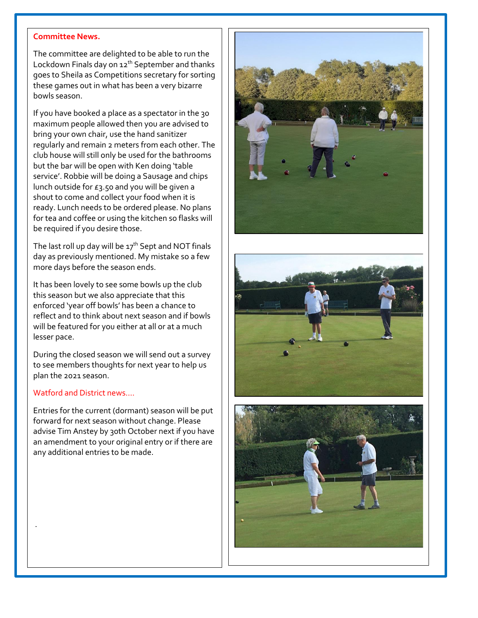### **Committee News.**

The committee are delighted to be able to run the Lockdown Finals day on 12<sup>th</sup> September and thanks goes to Sheila as Competitions secretary for sorting these games out in what has been a very bizarre bowls season.

If you have booked a place as a spectator in the 30 maximum people allowed then you are advised to bring your own chair, use the hand sanitizer regularly and remain 2 meters from each other. The club house will still only be used for the bathrooms but the bar will be open with Ken doing 'table service'. Robbie will be doing a Sausage and chips lunch outside for £3.50 and you will be given a shout to come and collect your food when it is ready. Lunch needs to be ordered please. No plans for tea and coffee or using the kitchen so flasks will be required if you desire those.

The last roll up day will be  $17<sup>th</sup>$  Sept and NOT finals day as previously mentioned. My mistake so a few more days before the season ends.

It has been lovely to see some bowls up the club this season but we also appreciate that this enforced 'year off bowls' has been a chance to reflect and to think about next season and if bowls will be featured for you either at all or at a much lesser pace.

During the closed season we will send out a survey to see members thoughts for next year to help us plan the 2021 season.

### Watford and District news….

.

Entries for the current (dormant) season will be put forward for next season without change. Please advise Tim Anstey by 30th October next if you have an amendment to your original entry or if there are any additional entries to be made.





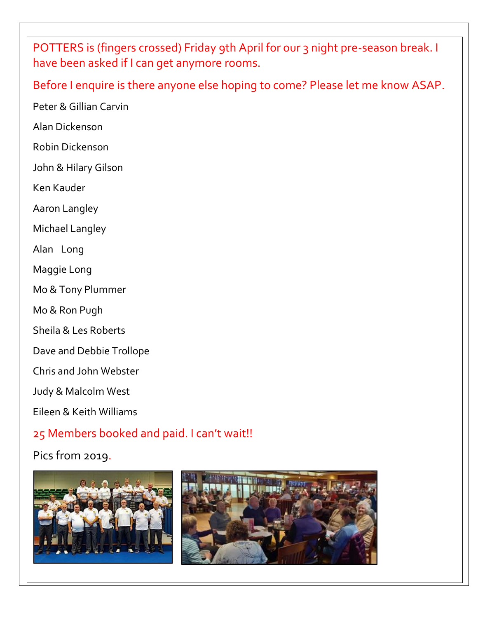POTTERS is (fingers crossed) Friday 9th April for our 3 night pre-season break. I have been asked if I can get anymore rooms.

Before I enquire is there anyone else hoping to come? Please let me know ASAP.

Peter & Gillian Carvin

Alan Dickenson

Robin Dickenson

John & Hilary Gilson

Ken Kauder

Aaron Langley

Michael Langley

Alan Long

Maggie Long

Mo & Tony Plummer

Mo & Ron Pugh

Sheila & Les Roberts

Dave and Debbie Trollope

Chris and John Webster

Judy & Malcolm West

Eileen & Keith Williams

## 25 Members booked and paid. I can't wait!!

Pics from 2019.